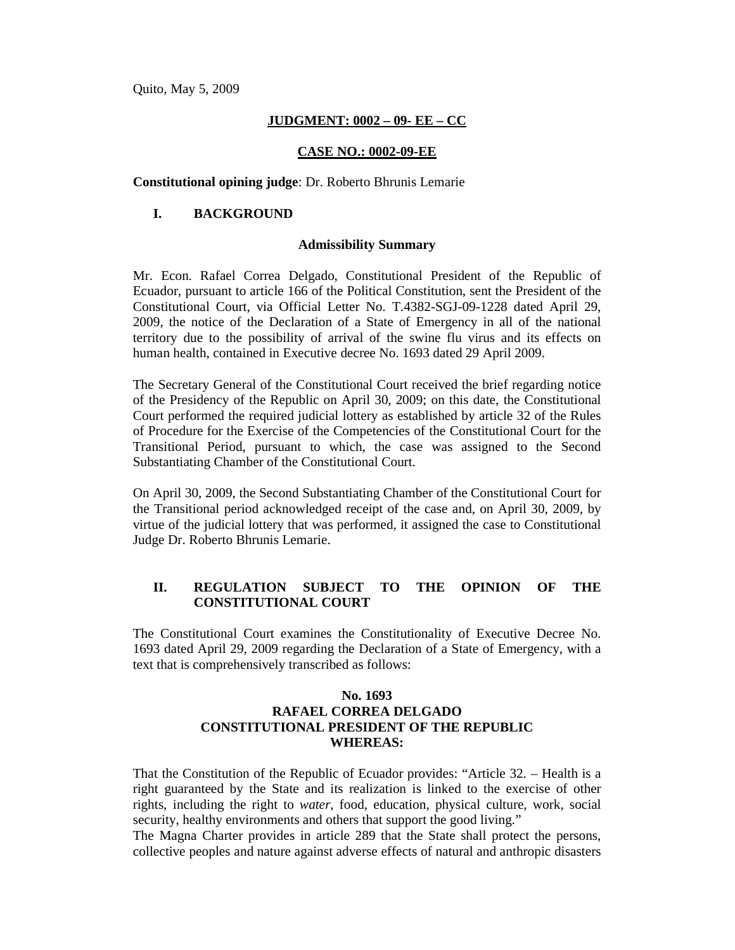Quito, May 5, 2009

## **JUDGMENT: 0002 – 09- EE – CC**

## **CASE NO.: 0002-09-EE**

**Constitutional opining judge**: Dr. Roberto Bhrunis Lemarie

## **I. BACKGROUND**

### **Admissibility Summary**

Mr. Econ. Rafael Correa Delgado, Constitutional President of the Republic of Ecuador, pursuant to article 166 of the Political Constitution, sent the President of the Constitutional Court, via Official Letter No. T.4382-SGJ-09-1228 dated April 29, 2009, the notice of the Declaration of a State of Emergency in all of the national territory due to the possibility of arrival of the swine flu virus and its effects on human health, contained in Executive decree No. 1693 dated 29 April 2009.

The Secretary General of the Constitutional Court received the brief regarding notice of the Presidency of the Republic on April 30, 2009; on this date, the Constitutional Court performed the required judicial lottery as established by article 32 of the Rules of Procedure for the Exercise of the Competencies of the Constitutional Court for the Transitional Period, pursuant to which, the case was assigned to the Second Substantiating Chamber of the Constitutional Court.

On April 30, 2009, the Second Substantiating Chamber of the Constitutional Court for the Transitional period acknowledged receipt of the case and, on April 30, 2009, by virtue of the judicial lottery that was performed, it assigned the case to Constitutional Judge Dr. Roberto Bhrunis Lemarie.

# **II. REGULATION SUBJECT TO THE OPINION OF THE CONSTITUTIONAL COURT**

The Constitutional Court examines the Constitutionality of Executive Decree No. 1693 dated April 29, 2009 regarding the Declaration of a State of Emergency, with a text that is comprehensively transcribed as follows:

# **No. 1693 RAFAEL CORREA DELGADO CONSTITUTIONAL PRESIDENT OF THE REPUBLIC WHEREAS:**

That the Constitution of the Republic of Ecuador provides: "Article 32. – Health is a right guaranteed by the State and its realization is linked to the exercise of other rights, including the right to *water*, food, education, physical culture, work, social security, healthy environments and others that support the good living."

The Magna Charter provides in article 289 that the State shall protect the persons, collective peoples and nature against adverse effects of natural and anthropic disasters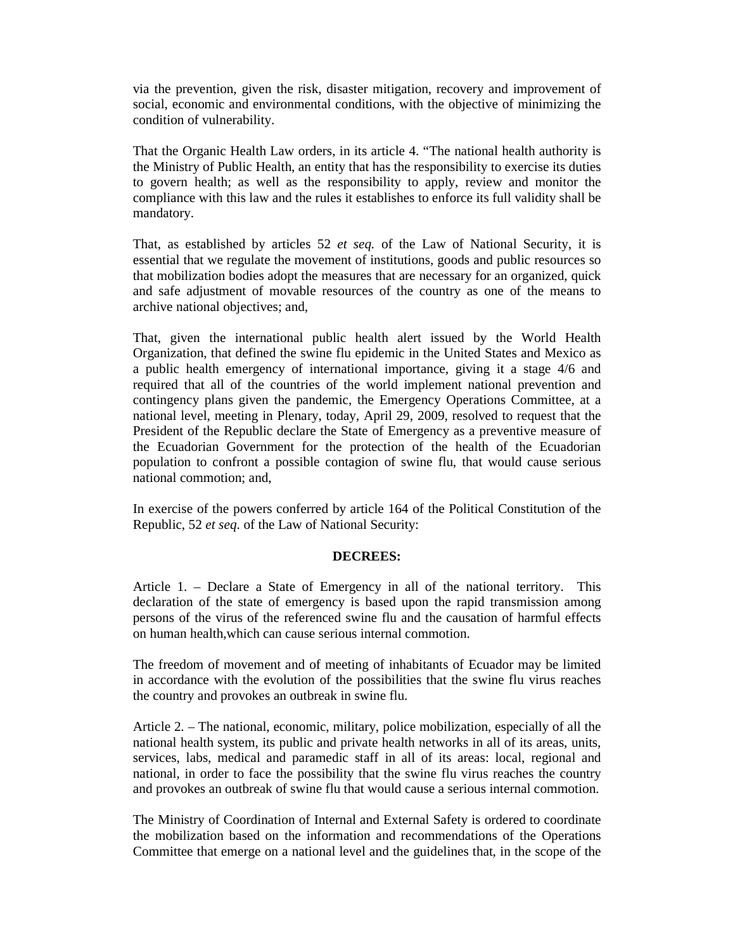via the prevention, given the risk, disaster mitigation, recovery and improvement of social, economic and environmental conditions, with the objective of minimizing the condition of vulnerability.

That the Organic Health Law orders, in its article 4. "The national health authority is the Ministry of Public Health, an entity that has the responsibility to exercise its duties to govern health; as well as the responsibility to apply, review and monitor the compliance with this law and the rules it establishes to enforce its full validity shall be mandatory.

That, as established by articles 52 *et seq.* of the Law of National Security, it is essential that we regulate the movement of institutions, goods and public resources so that mobilization bodies adopt the measures that are necessary for an organized, quick and safe adjustment of movable resources of the country as one of the means to archive national objectives; and,

That, given the international public health alert issued by the World Health Organization, that defined the swine flu epidemic in the United States and Mexico as a public health emergency of international importance, giving it a stage 4/6 and required that all of the countries of the world implement national prevention and contingency plans given the pandemic, the Emergency Operations Committee, at a national level, meeting in Plenary, today, April 29, 2009, resolved to request that the President of the Republic declare the State of Emergency as a preventive measure of the Ecuadorian Government for the protection of the health of the Ecuadorian population to confront a possible contagion of swine flu, that would cause serious national commotion; and,

In exercise of the powers conferred by article 164 of the Political Constitution of the Republic, 52 *et seq*. of the Law of National Security:

#### **DECREES:**

Article 1. – Declare a State of Emergency in all of the national territory. This declaration of the state of emergency is based upon the rapid transmission among persons of the virus of the referenced swine flu and the causation of harmful effects on human health,which can cause serious internal commotion.

The freedom of movement and of meeting of inhabitants of Ecuador may be limited in accordance with the evolution of the possibilities that the swine flu virus reaches the country and provokes an outbreak in swine flu.

Article 2. – The national, economic, military, police mobilization, especially of all the national health system, its public and private health networks in all of its areas, units, services, labs, medical and paramedic staff in all of its areas: local, regional and national, in order to face the possibility that the swine flu virus reaches the country and provokes an outbreak of swine flu that would cause a serious internal commotion.

The Ministry of Coordination of Internal and External Safety is ordered to coordinate the mobilization based on the information and recommendations of the Operations Committee that emerge on a national level and the guidelines that, in the scope of the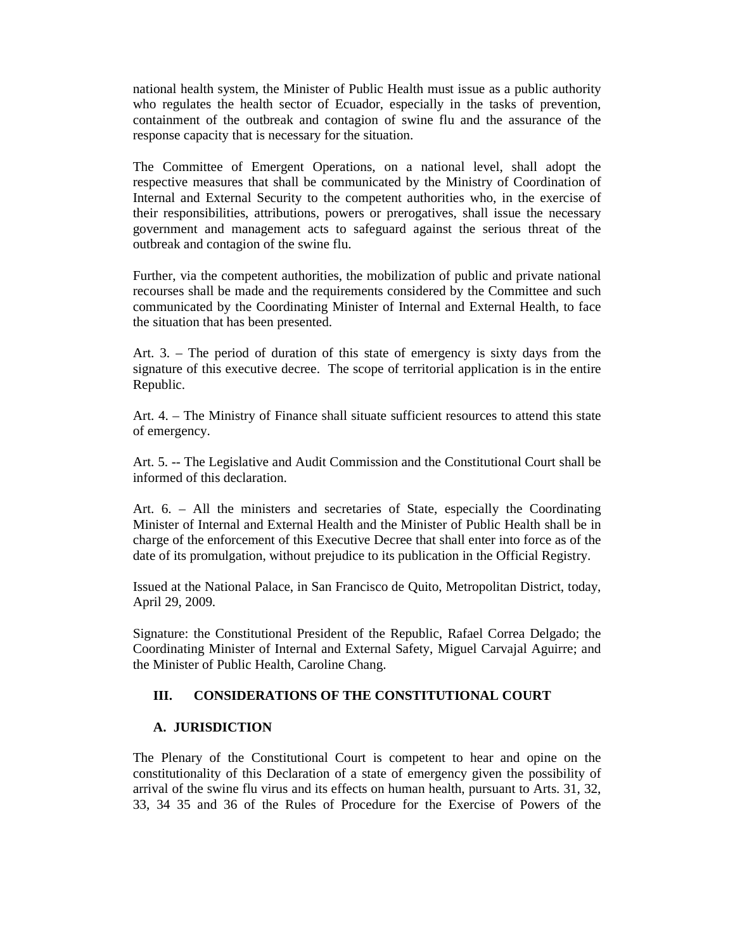national health system, the Minister of Public Health must issue as a public authority who regulates the health sector of Ecuador, especially in the tasks of prevention, containment of the outbreak and contagion of swine flu and the assurance of the response capacity that is necessary for the situation.

The Committee of Emergent Operations, on a national level, shall adopt the respective measures that shall be communicated by the Ministry of Coordination of Internal and External Security to the competent authorities who, in the exercise of their responsibilities, attributions, powers or prerogatives, shall issue the necessary government and management acts to safeguard against the serious threat of the outbreak and contagion of the swine flu.

Further, via the competent authorities, the mobilization of public and private national recourses shall be made and the requirements considered by the Committee and such communicated by the Coordinating Minister of Internal and External Health, to face the situation that has been presented.

Art. 3. – The period of duration of this state of emergency is sixty days from the signature of this executive decree. The scope of territorial application is in the entire Republic.

Art. 4. – The Ministry of Finance shall situate sufficient resources to attend this state of emergency.

Art. 5. -- The Legislative and Audit Commission and the Constitutional Court shall be informed of this declaration.

Art. 6. – All the ministers and secretaries of State, especially the Coordinating Minister of Internal and External Health and the Minister of Public Health shall be in charge of the enforcement of this Executive Decree that shall enter into force as of the date of its promulgation, without prejudice to its publication in the Official Registry.

Issued at the National Palace, in San Francisco de Quito, Metropolitan District, today, April 29, 2009.

Signature: the Constitutional President of the Republic, Rafael Correa Delgado; the Coordinating Minister of Internal and External Safety, Miguel Carvajal Aguirre; and the Minister of Public Health, Caroline Chang.

## **III. CONSIDERATIONS OF THE CONSTITUTIONAL COURT**

#### **A. JURISDICTION**

The Plenary of the Constitutional Court is competent to hear and opine on the constitutionality of this Declaration of a state of emergency given the possibility of arrival of the swine flu virus and its effects on human health, pursuant to Arts. 31, 32, 33, 34 35 and 36 of the Rules of Procedure for the Exercise of Powers of the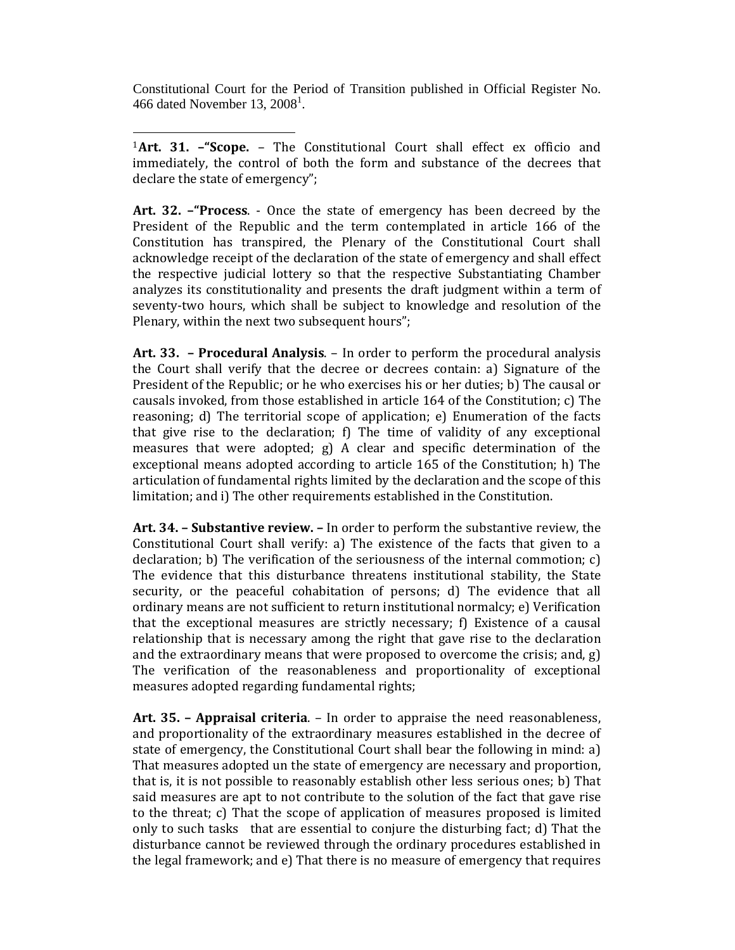Constitutional Court for the Period of Transition published in Official Register No. 466 dated November 13,  $2008<sup>1</sup>$ .

l <sup>1</sup>**Art. 31. –"Scope.** – The Constitutional Court shall effect ex officio and immediately, the control of both the form and substance of the decrees that declare the state of emergency";

**Art. 32. –"Process**. - Once the state of emergency has been decreed by the President of the Republic and the term contemplated in article 166 of the Constitution has transpired, the Plenary of the Constitutional Court shall acknowledge receipt of the declaration of the state of emergency and shall effect the respective judicial lottery so that the respective Substantiating Chamber analyzes its constitutionality and presents the draft judgment within a term of seventy-two hours, which shall be subject to knowledge and resolution of the Plenary, within the next two subsequent hours";

**Art. 33. – Procedural Analysis**. – In order to perform the procedural analysis the Court shall verify that the decree or decrees contain: a) Signature of the President of the Republic; or he who exercises his or her duties; b) The causal or causals invoked, from those established in article 164 of the Constitution; c) The reasoning; d) The territorial scope of application; e) Enumeration of the facts that give rise to the declaration; f) The time of validity of any exceptional measures that were adopted; g) A clear and specific determination of the exceptional means adopted according to article 165 of the Constitution; h) The articulation of fundamental rights limited by the declaration and the scope of this limitation; and i) The other requirements established in the Constitution.

**Art. 34. – Substantive review. –** In order to perform the substantive review, the Constitutional Court shall verify: a) The existence of the facts that given to a declaration; b) The verification of the seriousness of the internal commotion; c) The evidence that this disturbance threatens institutional stability, the State security, or the peaceful cohabitation of persons; d) The evidence that all ordinary means are not sufficient to return institutional normalcy; e) Verification that the exceptional measures are strictly necessary; f) Existence of a causal relationship that is necessary among the right that gave rise to the declaration and the extraordinary means that were proposed to overcome the crisis; and, g) The verification of the reasonableness and proportionality of exceptional measures adopted regarding fundamental rights;

**Art. 35. – Appraisal criteria**. – In order to appraise the need reasonableness, and proportionality of the extraordinary measures established in the decree of state of emergency, the Constitutional Court shall bear the following in mind: a) That measures adopted un the state of emergency are necessary and proportion, that is, it is not possible to reasonably establish other less serious ones; b) That said measures are apt to not contribute to the solution of the fact that gave rise to the threat; c) That the scope of application of measures proposed is limited only to such tasks that are essential to conjure the disturbing fact; d) That the disturbance cannot be reviewed through the ordinary procedures established in the legal framework; and e) That there is no measure of emergency that requires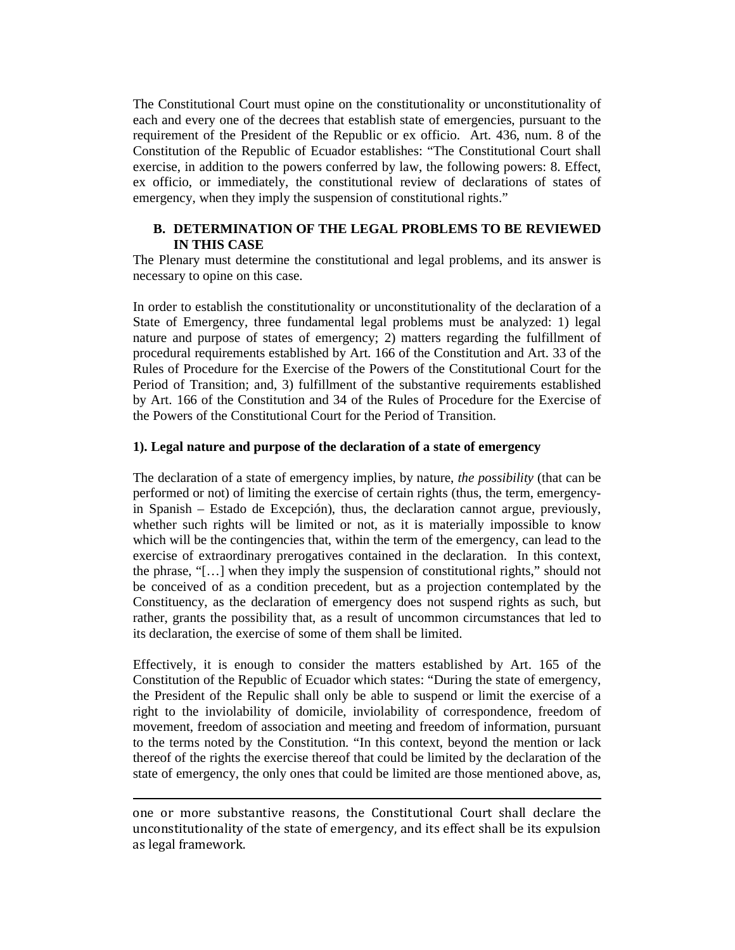The Constitutional Court must opine on the constitutionality or unconstitutionality of each and every one of the decrees that establish state of emergencies, pursuant to the requirement of the President of the Republic or ex officio. Art. 436, num. 8 of the Constitution of the Republic of Ecuador establishes: "The Constitutional Court shall exercise, in addition to the powers conferred by law, the following powers: 8. Effect, ex officio, or immediately, the constitutional review of declarations of states of emergency, when they imply the suspension of constitutional rights."

## **B. DETERMINATION OF THE LEGAL PROBLEMS TO BE REVIEWED IN THIS CASE**

The Plenary must determine the constitutional and legal problems, and its answer is necessary to opine on this case.

In order to establish the constitutionality or unconstitutionality of the declaration of a State of Emergency, three fundamental legal problems must be analyzed: 1) legal nature and purpose of states of emergency; 2) matters regarding the fulfillment of procedural requirements established by Art. 166 of the Constitution and Art. 33 of the Rules of Procedure for the Exercise of the Powers of the Constitutional Court for the Period of Transition; and, 3) fulfillment of the substantive requirements established by Art. 166 of the Constitution and 34 of the Rules of Procedure for the Exercise of the Powers of the Constitutional Court for the Period of Transition.

#### **1). Legal nature and purpose of the declaration of a state of emergency**

The declaration of a state of emergency implies, by nature, *the possibility* (that can be performed or not) of limiting the exercise of certain rights (thus, the term, emergencyin Spanish – Estado de Excepción), thus, the declaration cannot argue, previously, whether such rights will be limited or not, as it is materially impossible to know which will be the contingencies that, within the term of the emergency, can lead to the exercise of extraordinary prerogatives contained in the declaration. In this context, the phrase, "[…] when they imply the suspension of constitutional rights," should not be conceived of as a condition precedent, but as a projection contemplated by the Constituency, as the declaration of emergency does not suspend rights as such, but rather, grants the possibility that, as a result of uncommon circumstances that led to its declaration, the exercise of some of them shall be limited.

Effectively, it is enough to consider the matters established by Art. 165 of the Constitution of the Republic of Ecuador which states: "During the state of emergency, the President of the Repulic shall only be able to suspend or limit the exercise of a right to the inviolability of domicile, inviolability of correspondence, freedom of movement, freedom of association and meeting and freedom of information, pursuant to the terms noted by the Constitution. "In this context, beyond the mention or lack thereof of the rights the exercise thereof that could be limited by the declaration of the state of emergency, the only ones that could be limited are those mentioned above, as,

l

one or more substantive reasons, the Constitutional Court shall declare the unconstitutionality of the state of emergency, and its effect shall be its expulsion as legal framework.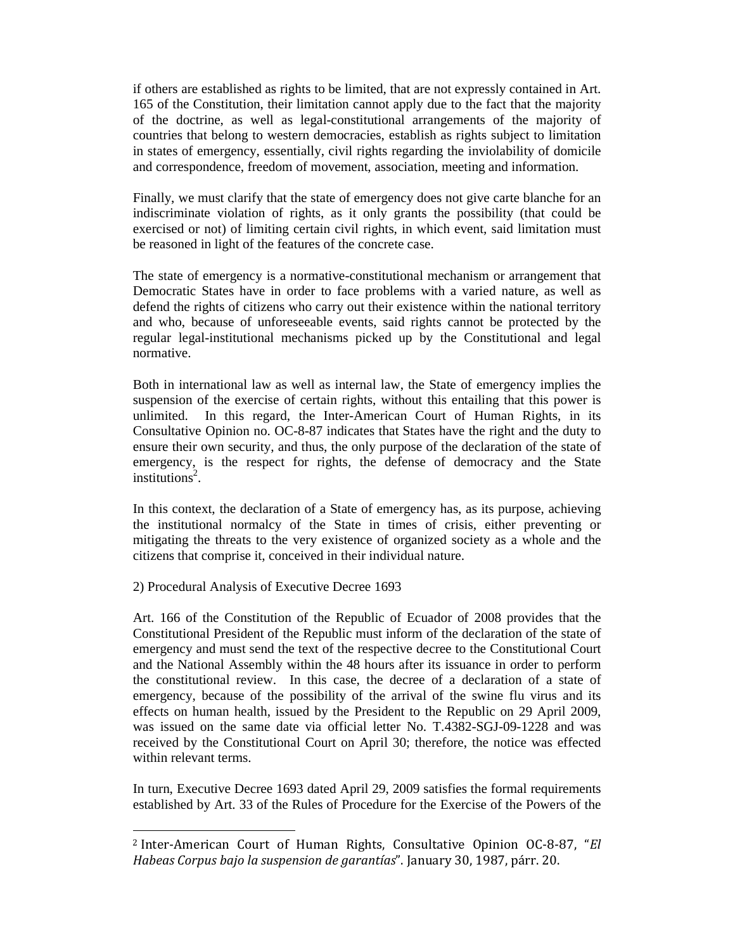if others are established as rights to be limited, that are not expressly contained in Art. 165 of the Constitution, their limitation cannot apply due to the fact that the majority of the doctrine, as well as legal-constitutional arrangements of the majority of countries that belong to western democracies, establish as rights subject to limitation in states of emergency, essentially, civil rights regarding the inviolability of domicile and correspondence, freedom of movement, association, meeting and information.

Finally, we must clarify that the state of emergency does not give carte blanche for an indiscriminate violation of rights, as it only grants the possibility (that could be exercised or not) of limiting certain civil rights, in which event, said limitation must be reasoned in light of the features of the concrete case.

The state of emergency is a normative-constitutional mechanism or arrangement that Democratic States have in order to face problems with a varied nature, as well as defend the rights of citizens who carry out their existence within the national territory and who, because of unforeseeable events, said rights cannot be protected by the regular legal-institutional mechanisms picked up by the Constitutional and legal normative.

Both in international law as well as internal law, the State of emergency implies the suspension of the exercise of certain rights, without this entailing that this power is unlimited. In this regard, the Inter-American Court of Human Rights, in its Consultative Opinion no. OC-8-87 indicates that States have the right and the duty to ensure their own security, and thus, the only purpose of the declaration of the state of emergency, is the respect for rights, the defense of democracy and the State  $institutions<sup>2</sup>$ .

In this context, the declaration of a State of emergency has, as its purpose, achieving the institutional normalcy of the State in times of crisis, either preventing or mitigating the threats to the very existence of organized society as a whole and the citizens that comprise it, conceived in their individual nature.

## 2) Procedural Analysis of Executive Decree 1693

l

Art. 166 of the Constitution of the Republic of Ecuador of 2008 provides that the Constitutional President of the Republic must inform of the declaration of the state of emergency and must send the text of the respective decree to the Constitutional Court and the National Assembly within the 48 hours after its issuance in order to perform the constitutional review. In this case, the decree of a declaration of a state of emergency, because of the possibility of the arrival of the swine flu virus and its effects on human health, issued by the President to the Republic on 29 April 2009, was issued on the same date via official letter No. T.4382-SGJ-09-1228 and was received by the Constitutional Court on April 30; therefore, the notice was effected within relevant terms.

In turn, Executive Decree 1693 dated April 29, 2009 satisfies the formal requirements established by Art. 33 of the Rules of Procedure for the Exercise of the Powers of the

<sup>2</sup> Inter-American Court of Human Rights, Consultative Opinion OC-8-87, "*El Habeas Corpus bajo la suspension de garantías*". January 30, 1987, párr. 20.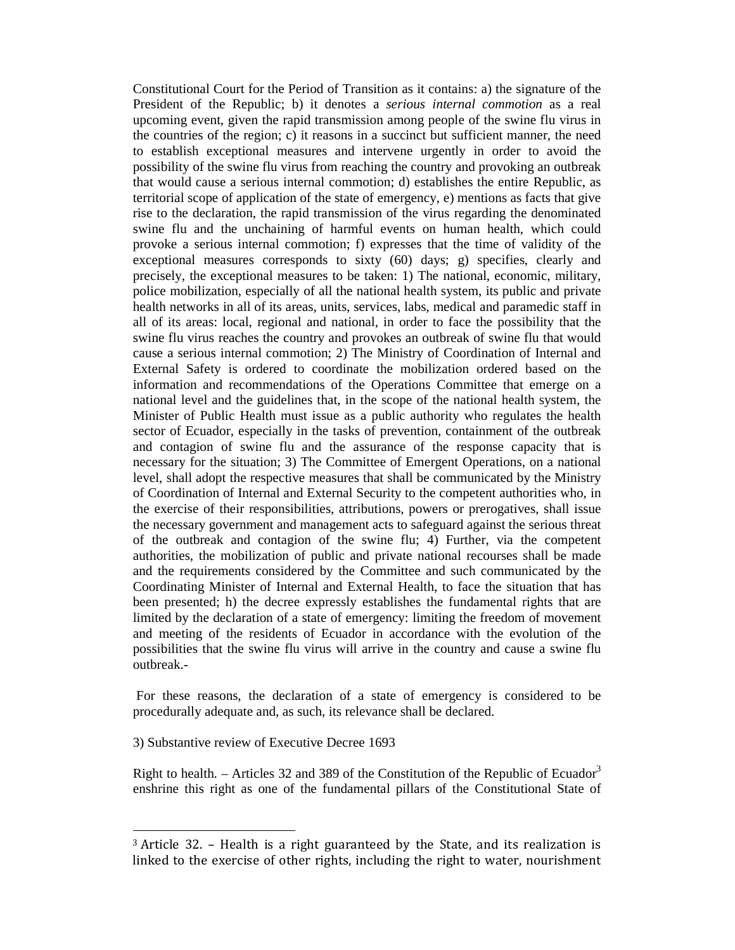Constitutional Court for the Period of Transition as it contains: a) the signature of the President of the Republic; b) it denotes a *serious internal commotion* as a real upcoming event, given the rapid transmission among people of the swine flu virus in the countries of the region; c) it reasons in a succinct but sufficient manner, the need to establish exceptional measures and intervene urgently in order to avoid the possibility of the swine flu virus from reaching the country and provoking an outbreak that would cause a serious internal commotion; d) establishes the entire Republic, as territorial scope of application of the state of emergency, e) mentions as facts that give rise to the declaration, the rapid transmission of the virus regarding the denominated swine flu and the unchaining of harmful events on human health, which could provoke a serious internal commotion; f) expresses that the time of validity of the exceptional measures corresponds to sixty (60) days; g) specifies, clearly and precisely, the exceptional measures to be taken: 1) The national, economic, military, police mobilization, especially of all the national health system, its public and private health networks in all of its areas, units, services, labs, medical and paramedic staff in all of its areas: local, regional and national, in order to face the possibility that the swine flu virus reaches the country and provokes an outbreak of swine flu that would cause a serious internal commotion; 2) The Ministry of Coordination of Internal and External Safety is ordered to coordinate the mobilization ordered based on the information and recommendations of the Operations Committee that emerge on a national level and the guidelines that, in the scope of the national health system, the Minister of Public Health must issue as a public authority who regulates the health sector of Ecuador, especially in the tasks of prevention, containment of the outbreak and contagion of swine flu and the assurance of the response capacity that is necessary for the situation; 3) The Committee of Emergent Operations, on a national level, shall adopt the respective measures that shall be communicated by the Ministry of Coordination of Internal and External Security to the competent authorities who, in the exercise of their responsibilities, attributions, powers or prerogatives, shall issue the necessary government and management acts to safeguard against the serious threat of the outbreak and contagion of the swine flu; 4) Further, via the competent authorities, the mobilization of public and private national recourses shall be made and the requirements considered by the Committee and such communicated by the Coordinating Minister of Internal and External Health, to face the situation that has been presented; h) the decree expressly establishes the fundamental rights that are limited by the declaration of a state of emergency: limiting the freedom of movement and meeting of the residents of Ecuador in accordance with the evolution of the possibilities that the swine flu virus will arrive in the country and cause a swine flu outbreak.-

 For these reasons, the declaration of a state of emergency is considered to be procedurally adequate and, as such, its relevance shall be declared.

3) Substantive review of Executive Decree 1693

l

Right to health. – Articles 32 and 389 of the Constitution of the Republic of Ecuador<sup>3</sup> enshrine this right as one of the fundamental pillars of the Constitutional State of

<sup>3</sup> Article 32. – Health is a right guaranteed by the State, and its realization is linked to the exercise of other rights, including the right to water, nourishment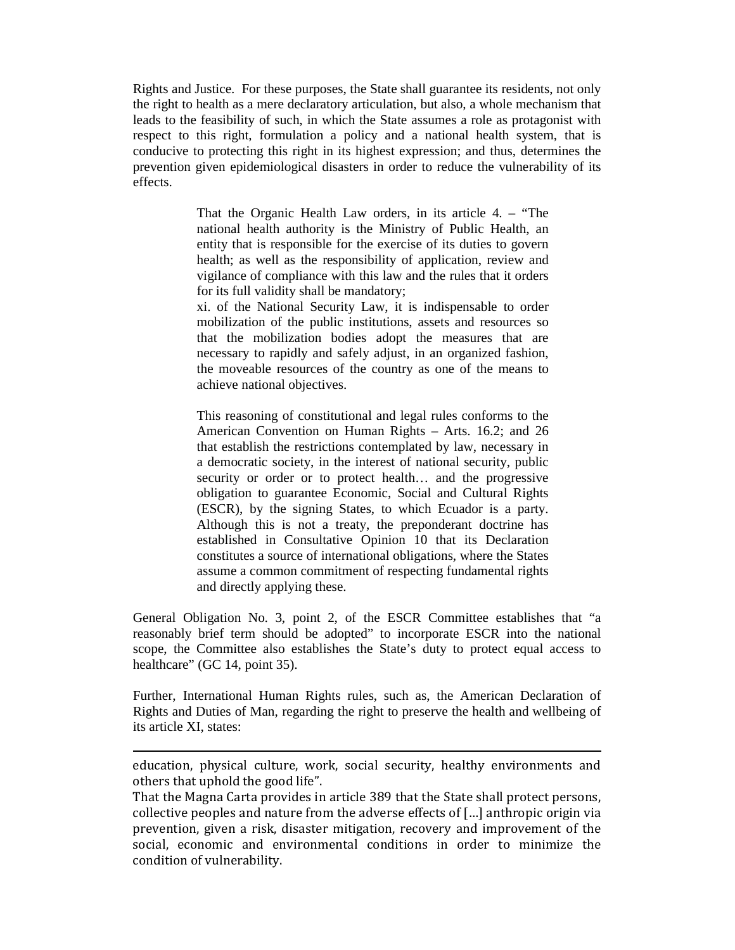Rights and Justice. For these purposes, the State shall guarantee its residents, not only the right to health as a mere declaratory articulation, but also, a whole mechanism that leads to the feasibility of such, in which the State assumes a role as protagonist with respect to this right, formulation a policy and a national health system, that is conducive to protecting this right in its highest expression; and thus, determines the prevention given epidemiological disasters in order to reduce the vulnerability of its effects.

> That the Organic Health Law orders, in its article 4. – "The national health authority is the Ministry of Public Health, an entity that is responsible for the exercise of its duties to govern health; as well as the responsibility of application, review and vigilance of compliance with this law and the rules that it orders for its full validity shall be mandatory;

> xi. of the National Security Law, it is indispensable to order mobilization of the public institutions, assets and resources so that the mobilization bodies adopt the measures that are necessary to rapidly and safely adjust, in an organized fashion, the moveable resources of the country as one of the means to achieve national objectives.

> This reasoning of constitutional and legal rules conforms to the American Convention on Human Rights – Arts. 16.2; and 26 that establish the restrictions contemplated by law, necessary in a democratic society, in the interest of national security, public security or order or to protect health… and the progressive obligation to guarantee Economic, Social and Cultural Rights (ESCR), by the signing States, to which Ecuador is a party. Although this is not a treaty, the preponderant doctrine has established in Consultative Opinion 10 that its Declaration constitutes a source of international obligations, where the States assume a common commitment of respecting fundamental rights and directly applying these.

General Obligation No. 3, point 2, of the ESCR Committee establishes that "a reasonably brief term should be adopted" to incorporate ESCR into the national scope, the Committee also establishes the State's duty to protect equal access to healthcare" (GC 14, point 35).

Further, International Human Rights rules, such as, the American Declaration of Rights and Duties of Man, regarding the right to preserve the health and wellbeing of its article XI, states:

education, physical culture, work, social security, healthy environments and others that uphold the good life".

l

That the Magna Carta provides in article 389 that the State shall protect persons, collective peoples and nature from the adverse effects of […] anthropic origin via prevention, given a risk, disaster mitigation, recovery and improvement of the social, economic and environmental conditions in order to minimize the condition of vulnerability.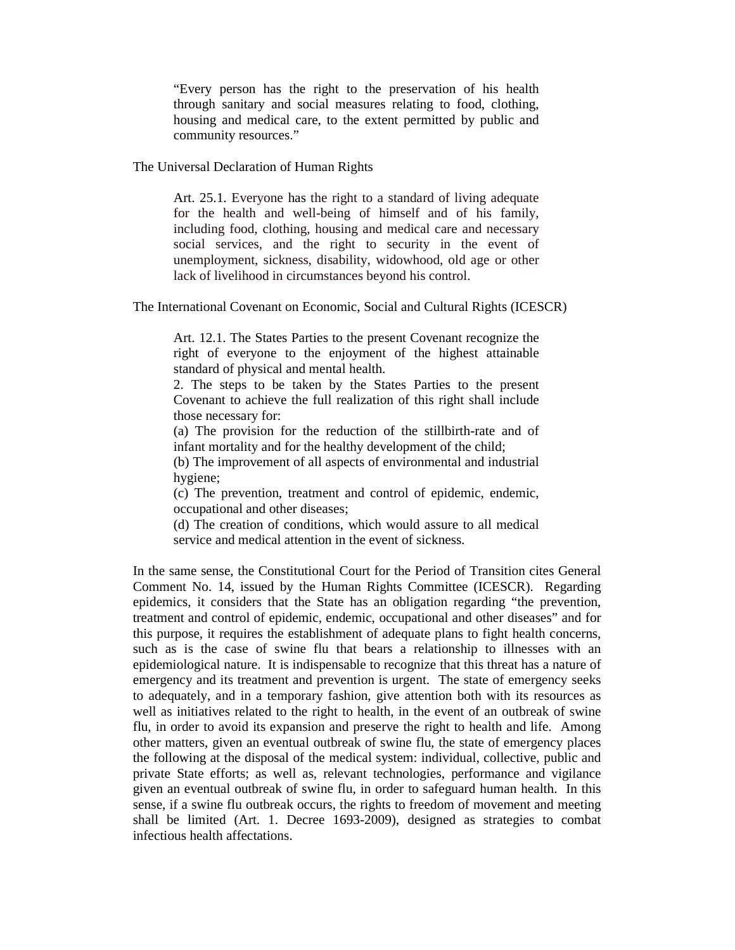"Every person has the right to the preservation of his health through sanitary and social measures relating to food, clothing, housing and medical care, to the extent permitted by public and community resources."

The Universal Declaration of Human Rights

Art. 25.1. Everyone has the right to a standard of living adequate for the health and well-being of himself and of his family, including food, clothing, housing and medical care and necessary social services, and the right to security in the event of unemployment, sickness, disability, widowhood, old age or other lack of livelihood in circumstances beyond his control.

The International Covenant on Economic, Social and Cultural Rights (ICESCR)

Art. 12.1. The States Parties to the present Covenant recognize the right of everyone to the enjoyment of the highest attainable standard of physical and mental health.

2. The steps to be taken by the States Parties to the present Covenant to achieve the full realization of this right shall include those necessary for:

(a) The provision for the reduction of the stillbirth-rate and of infant mortality and for the healthy development of the child;

(b) The improvement of all aspects of environmental and industrial hygiene;

(c) The prevention, treatment and control of epidemic, endemic, occupational and other diseases;

(d) The creation of conditions, which would assure to all medical service and medical attention in the event of sickness.

In the same sense, the Constitutional Court for the Period of Transition cites General Comment No. 14, issued by the Human Rights Committee (ICESCR). Regarding epidemics, it considers that the State has an obligation regarding "the prevention, treatment and control of epidemic, endemic, occupational and other diseases" and for this purpose, it requires the establishment of adequate plans to fight health concerns, such as is the case of swine flu that bears a relationship to illnesses with an epidemiological nature. It is indispensable to recognize that this threat has a nature of emergency and its treatment and prevention is urgent. The state of emergency seeks to adequately, and in a temporary fashion, give attention both with its resources as well as initiatives related to the right to health, in the event of an outbreak of swine flu, in order to avoid its expansion and preserve the right to health and life. Among other matters, given an eventual outbreak of swine flu, the state of emergency places the following at the disposal of the medical system: individual, collective, public and private State efforts; as well as, relevant technologies, performance and vigilance given an eventual outbreak of swine flu, in order to safeguard human health. In this sense, if a swine flu outbreak occurs, the rights to freedom of movement and meeting shall be limited (Art. 1. Decree 1693-2009), designed as strategies to combat infectious health affectations.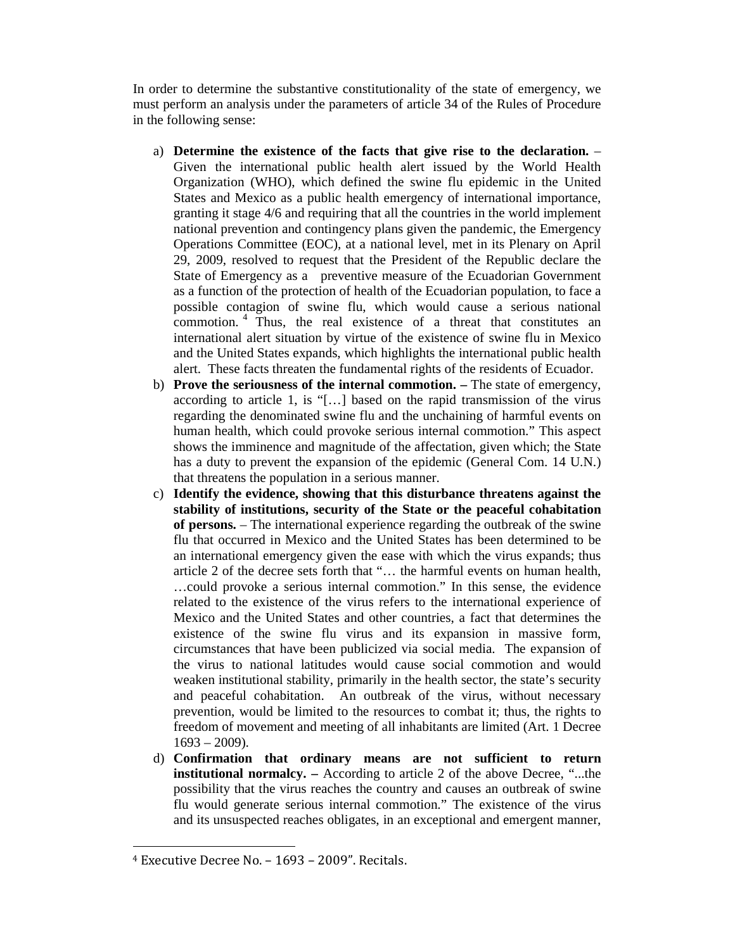In order to determine the substantive constitutionality of the state of emergency, we must perform an analysis under the parameters of article 34 of the Rules of Procedure in the following sense:

- a) **Determine the existence of the facts that give rise to the declaration.** Given the international public health alert issued by the World Health Organization (WHO), which defined the swine flu epidemic in the United States and Mexico as a public health emergency of international importance, granting it stage 4/6 and requiring that all the countries in the world implement national prevention and contingency plans given the pandemic, the Emergency Operations Committee (EOC), at a national level, met in its Plenary on April 29, 2009, resolved to request that the President of the Republic declare the State of Emergency as a preventive measure of the Ecuadorian Government as a function of the protection of health of the Ecuadorian population, to face a possible contagion of swine flu, which would cause a serious national commotion. <sup>4</sup> Thus, the real existence of a threat that constitutes an international alert situation by virtue of the existence of swine flu in Mexico and the United States expands, which highlights the international public health alert. These facts threaten the fundamental rights of the residents of Ecuador.
- b) **Prove the seriousness of the internal commotion.** The state of emergency, according to article 1, is "[…] based on the rapid transmission of the virus regarding the denominated swine flu and the unchaining of harmful events on human health, which could provoke serious internal commotion." This aspect shows the imminence and magnitude of the affectation, given which; the State has a duty to prevent the expansion of the epidemic (General Com. 14 U.N.) that threatens the population in a serious manner.
- c) **Identify the evidence, showing that this disturbance threatens against the stability of institutions, security of the State or the peaceful cohabitation of persons.** – The international experience regarding the outbreak of the swine flu that occurred in Mexico and the United States has been determined to be an international emergency given the ease with which the virus expands; thus article 2 of the decree sets forth that "… the harmful events on human health, …could provoke a serious internal commotion." In this sense, the evidence related to the existence of the virus refers to the international experience of Mexico and the United States and other countries, a fact that determines the existence of the swine flu virus and its expansion in massive form, circumstances that have been publicized via social media. The expansion of the virus to national latitudes would cause social commotion and would weaken institutional stability, primarily in the health sector, the state's security and peaceful cohabitation. An outbreak of the virus, without necessary prevention, would be limited to the resources to combat it; thus, the rights to freedom of movement and meeting of all inhabitants are limited (Art. 1 Decree  $1693 - 2009$ ).
- d) **Confirmation that ordinary means are not sufficient to return institutional normalcy. –** According to article 2 of the above Decree, "...the possibility that the virus reaches the country and causes an outbreak of swine flu would generate serious internal commotion." The existence of the virus and its unsuspected reaches obligates, in an exceptional and emergent manner,

 $\overline{a}$ 

<sup>4</sup> Executive Decree No. – 1693 – 2009". Recitals.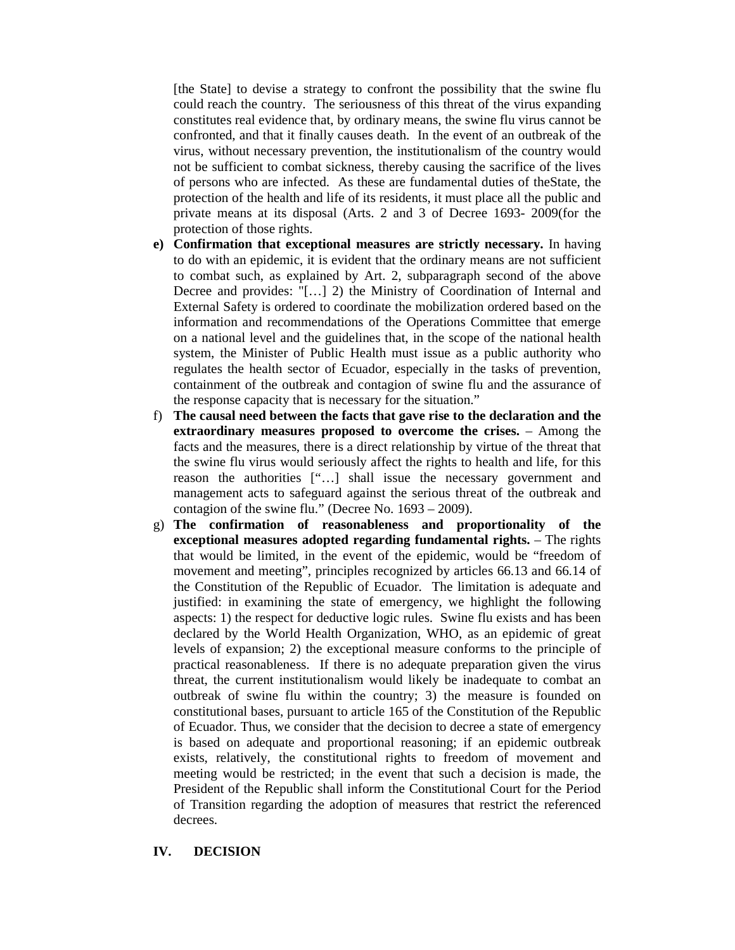[the State] to devise a strategy to confront the possibility that the swine flu could reach the country. The seriousness of this threat of the virus expanding constitutes real evidence that, by ordinary means, the swine flu virus cannot be confronted, and that it finally causes death. In the event of an outbreak of the virus, without necessary prevention, the institutionalism of the country would not be sufficient to combat sickness, thereby causing the sacrifice of the lives of persons who are infected. As these are fundamental duties of theState, the protection of the health and life of its residents, it must place all the public and private means at its disposal (Arts. 2 and 3 of Decree 1693- 2009(for the protection of those rights.

- **e) Confirmation that exceptional measures are strictly necessary.** In having to do with an epidemic, it is evident that the ordinary means are not sufficient to combat such, as explained by Art. 2, subparagraph second of the above Decree and provides: "[…] 2) the Ministry of Coordination of Internal and External Safety is ordered to coordinate the mobilization ordered based on the information and recommendations of the Operations Committee that emerge on a national level and the guidelines that, in the scope of the national health system, the Minister of Public Health must issue as a public authority who regulates the health sector of Ecuador, especially in the tasks of prevention, containment of the outbreak and contagion of swine flu and the assurance of the response capacity that is necessary for the situation."
- f) **The causal need between the facts that gave rise to the declaration and the extraordinary measures proposed to overcome the crises.** – Among the facts and the measures, there is a direct relationship by virtue of the threat that the swine flu virus would seriously affect the rights to health and life, for this reason the authorities ["…] shall issue the necessary government and management acts to safeguard against the serious threat of the outbreak and contagion of the swine flu." (Decree No. 1693 – 2009).
- g) **The confirmation of reasonableness and proportionality of the exceptional measures adopted regarding fundamental rights.** – The rights that would be limited, in the event of the epidemic, would be "freedom of movement and meeting", principles recognized by articles 66.13 and 66.14 of the Constitution of the Republic of Ecuador. The limitation is adequate and justified: in examining the state of emergency, we highlight the following aspects: 1) the respect for deductive logic rules. Swine flu exists and has been declared by the World Health Organization, WHO, as an epidemic of great levels of expansion; 2) the exceptional measure conforms to the principle of practical reasonableness. If there is no adequate preparation given the virus threat, the current institutionalism would likely be inadequate to combat an outbreak of swine flu within the country; 3) the measure is founded on constitutional bases, pursuant to article 165 of the Constitution of the Republic of Ecuador. Thus, we consider that the decision to decree a state of emergency is based on adequate and proportional reasoning; if an epidemic outbreak exists, relatively, the constitutional rights to freedom of movement and meeting would be restricted; in the event that such a decision is made, the President of the Republic shall inform the Constitutional Court for the Period of Transition regarding the adoption of measures that restrict the referenced decrees.

#### **IV. DECISION**